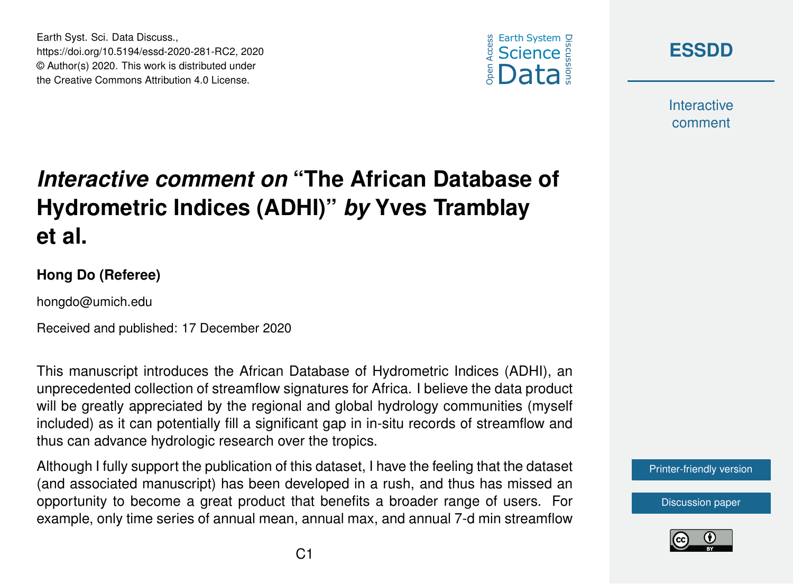





**Interactive** comment

## *Interactive comment on* **"The African Database of Hydrometric Indices (ADHI)"** *by* **Yves Tramblay et al.**

## **Hong Do (Referee)**

hongdo@umich.edu

Received and published: 17 December 2020

This manuscript introduces the African Database of Hydrometric Indices (ADHI), an unprecedented collection of streamflow signatures for Africa. I believe the data product will be greatly appreciated by the regional and global hydrology communities (myself included) as it can potentially fill a significant gap in in-situ records of streamflow and thus can advance hydrologic research over the tropics.

Although I fully support the publication of this dataset, I have the feeling that the dataset (and associated manuscript) has been developed in a rush, and thus has missed an opportunity to become a great product that benefits a broader range of users. For example, only time series of annual mean, annual max, and annual 7-d min streamflow

[Printer-friendly version](https://essd.copernicus.org/preprints/essd-2020-281/essd-2020-281-RC2-print.pdf)

[Discussion paper](https://essd.copernicus.org/preprints/essd-2020-281)

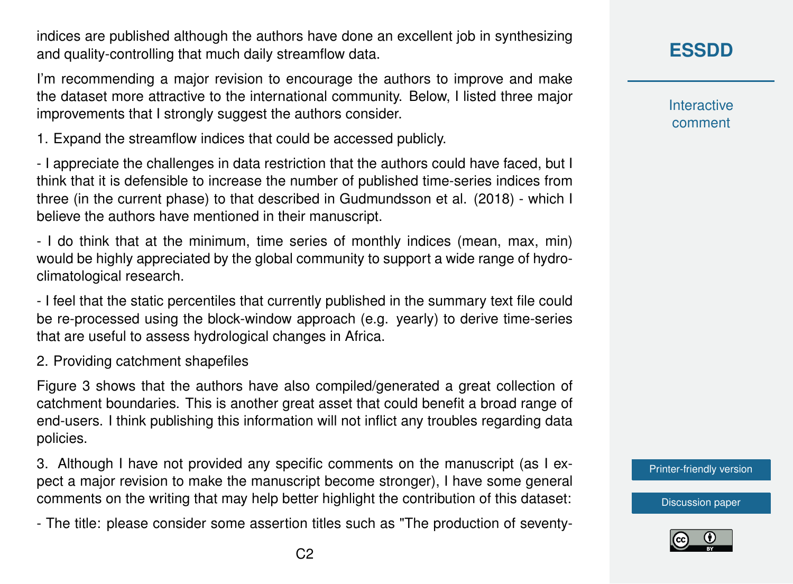indices are published although the authors have done an excellent job in synthesizing and quality-controlling that much daily streamflow data.

I'm recommending a major revision to encourage the authors to improve and make the dataset more attractive to the international community. Below, I listed three major improvements that I strongly suggest the authors consider.

1. Expand the streamflow indices that could be accessed publicly.

- I appreciate the challenges in data restriction that the authors could have faced, but I think that it is defensible to increase the number of published time-series indices from three (in the current phase) to that described in Gudmundsson et al. (2018) - which I believe the authors have mentioned in their manuscript.

- I do think that at the minimum, time series of monthly indices (mean, max, min) would be highly appreciated by the global community to support a wide range of hydroclimatological research.

- I feel that the static percentiles that currently published in the summary text file could be re-processed using the block-window approach (e.g. yearly) to derive time-series that are useful to assess hydrological changes in Africa.

2. Providing catchment shapefiles

Figure 3 shows that the authors have also compiled/generated a great collection of catchment boundaries. This is another great asset that could benefit a broad range of end-users. I think publishing this information will not inflict any troubles regarding data policies.

3. Although I have not provided any specific comments on the manuscript (as I expect a major revision to make the manuscript become stronger), I have some general comments on the writing that may help better highlight the contribution of this dataset:

- The title: please consider some assertion titles such as "The production of seventy-

**[ESSDD](https://essd.copernicus.org/preprints/)**

**Interactive** comment

[Printer-friendly version](https://essd.copernicus.org/preprints/essd-2020-281/essd-2020-281-RC2-print.pdf)

[Discussion paper](https://essd.copernicus.org/preprints/essd-2020-281)